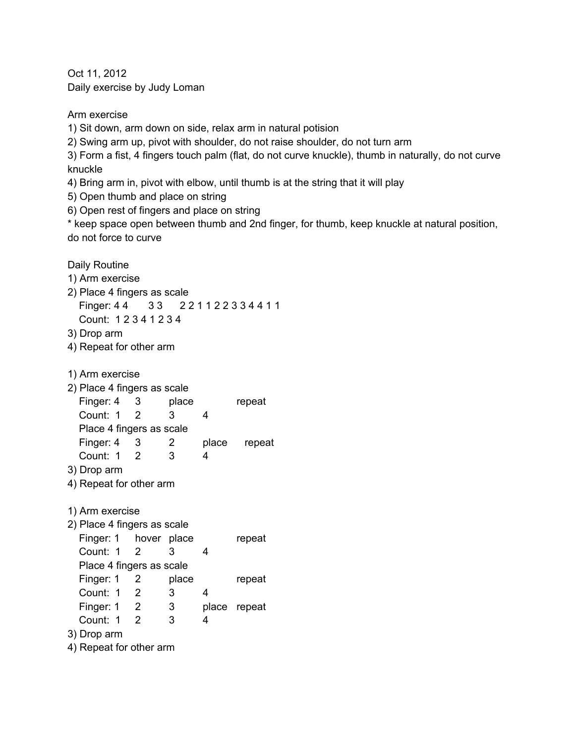Oct 11, 2012 Daily exercise by Judy Loman

Arm exercise 1) Sit down, arm down on side, relax arm in natural potision

2) Swing arm up, pivot with shoulder, do not raise shoulder, do not turn arm

3) Form a fist, 4 fingers touch palm (flat, do not curve knuckle), thumb in naturally, do not curve knuckle

4) Bring arm in, pivot with elbow, until thumb is at the string that it will play

5) Open thumb and place on string

6) Open rest of fingers and place on string

\* keep space open between thumb and 2nd finger, for thumb, keep knuckle at natural position, do not force to curve

Daily Routine 1) Arm exercise 2) Place 4 fingers as scale Finger: 44 33 221122334411 Count: 1 2 3 4 1 2 3 4 3) Drop arm 4) Repeat for other arm 1) Arm exercise 2) Place 4 fingers as scale Finger: 4 3 place repeat Count: 1 2 3 4 Place 4 fingers as scale Finger: 4 3 2 place repeat Count: 1 2 3 4 3) Drop arm 4) Repeat for other arm 1) Arm exercise 2) Place 4 fingers as scale Finger: 1 hover place repeat Count: 1 2 3 4 Place 4 fingers as scale Finger: 1 2 place repeat Count: 1 2 3 4 Finger: 1 2 3 place repeat Count: 1 2 3 4 3) Drop arm 4) Repeat for other arm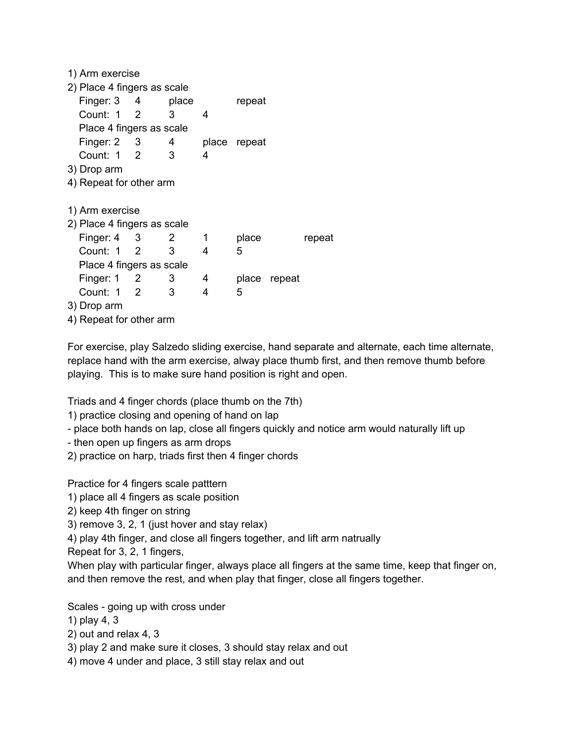| 1) Arm exercise             |  |                |   |              |              |        |
|-----------------------------|--|----------------|---|--------------|--------------|--------|
| 2) Place 4 fingers as scale |  |                |   |              |              |        |
| Finger: $3 \t 4$            |  | place          |   | repeat       |              |        |
| Count: 1 2                  |  | 3              | 4 |              |              |        |
| Place 4 fingers as scale    |  |                |   |              |              |        |
| Finger: $2 \t 3$            |  | $\overline{4}$ |   | place repeat |              |        |
| Count: 1 2                  |  | 3              | 4 |              |              |        |
| 3) Drop arm                 |  |                |   |              |              |        |
| 4) Repeat for other arm     |  |                |   |              |              |        |
|                             |  |                |   |              |              |        |
| 1) Arm exercise             |  |                |   |              |              |        |
| 2) Place 4 fingers as scale |  |                |   |              |              |        |
| Finger: $4 \quad 3$         |  | - 2            | 1 | place        |              | repeat |
| Count: 1 2                  |  | 3              | 4 | 5            |              |        |
| Place 4 fingers as scale    |  |                |   |              |              |        |
| Finger: $1 \quad 2$         |  | 3.             | 4 |              | place repeat |        |
| Count: 1 2                  |  | 3              | 4 | 5            |              |        |
| 3) Drop arm                 |  |                |   |              |              |        |
| 4) Repeat for other arm     |  |                |   |              |              |        |
|                             |  |                |   |              |              |        |

For exercise, play Salzedo sliding exercise, hand separate and alternate, each time alternate, replace hand with the arm exercise, alway place thumb first, and then remove thumb before playing. This is to make sure hand position is right and open.

Triads and 4 finger chords (place thumb on the 7th)

1) practice closing and opening of hand on lap

- place both hands on lap, close all fingers quickly and notice arm would naturally lift up

- then open up fingers as arm drops

2) practice on harp, triads first then 4 finger chords

Practice for 4 fingers scale patttern

1) place all 4 fingers as scale position

2) keep 4th finger on string

3) remove 3, 2, 1 (just hover and stay relax)

4) play 4th finger, and close all fingers together, and lift arm natrually

Repeat for 3, 2, 1 fingers,

When play with particular finger, always place all fingers at the same time, keep that finger on, and then remove the rest, and when play that finger, close all fingers together.

Scales - going up with cross under

1) play 4, 3

2) out and relax 4, 3

- 3) play 2 and make sure it closes, 3 should stay relax and out
- 4) move 4 under and place, 3 still stay relax and out